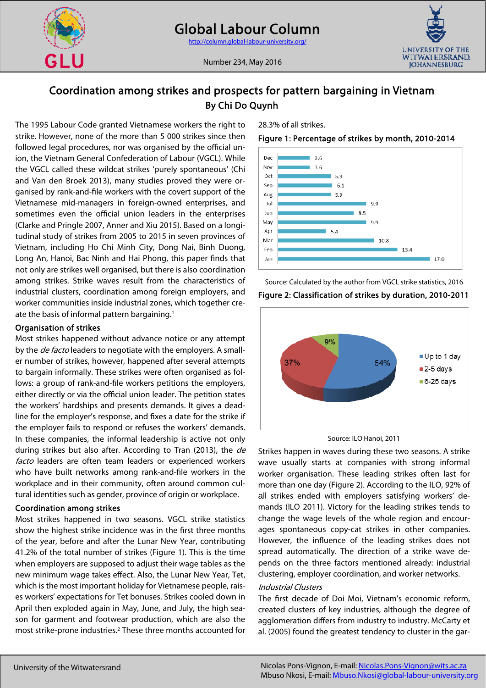



Number 234, May 2016

# Coordination among strikes and prospects for pattern bargaining in Vietnam By Chi Do Quynh

The 1995 Labour Code granted Vietnamese workers the right to strike. However, none of the more than 5 000 strikes since then followed legal procedures, nor was organised by the official union, the Vietnam General Confederation of Labour (VGCL). While the VGCL called these wildcat strikes 'purely spontaneous' (Chi and Van den Broek 2013), many studies proved they were organised by rank-and-file workers with the covert support of the Vietnamese mid-managers in foreign-owned enterprises, and sometimes even the official union leaders in the enterprises (Clarke and Pringle 2007, Anner and Xiu 2015). Based on a longitudinal study of strikes from 2005 to 2015 in seven provinces of Vietnam, including Ho Chi Minh City, Dong Nai, Binh Duong, Long An, Hanoi, Bac Ninh and Hai Phong, this paper finds that not only are strikes well organised, but there is also coordination among strikes. Strike waves result from the characteristics of industrial clusters, coordination among foreign employers, and worker communities inside industrial zones, which together create the basis of informal pattern bargaining.1

## Organisation of strikes

Most strikes happened without advance notice or any attempt by the *de facto* leaders to negotiate with the employers. A smaller number of strikes, however, happened after several attempts to bargain informally. These strikes were often organised as follows: a group of rank-and-file workers petitions the employers, either directly or via the official union leader. The petition states the workers' hardships and presents demands. It gives a deadline for the employer's response, and fixes a date for the strike if the employer fails to respond or refuses the workers' demands. In these companies, the informal leadership is active not only during strikes but also after. According to Tran (2013), the de facto leaders are often team leaders or experienced workers who have built networks among rank-and-file workers in the workplace and in their community, often around common cultural identities such as gender, province of origin or workplace.

## Coordination among strikes

Most strikes happened in two seasons. VGCL strike statistics show the highest strike incidence was in the first three months of the year, before and after the Lunar New Year, contributing 41.2% of the total number of strikes (Figure 1). This is the time when employers are supposed to adjust their wage tables as the new minimum wage takes effect. Also, the Lunar New Year, Tet, which is the most important holiday for Vietnamese people, raises workers' expectations for Tet bonuses. Strikes cooled down in April then exploded again in May, June, and July, the high season for garment and footwear production, which are also the most strike-prone industries.2 These three months accounted for 28.3% of all strikes.

## Figure 1: Percentage of strikes by month, 2010-2014



Source: Calculated by the author from VGCL strike statistics, 2016 Figure 2: Classification of strikes by duration, 2010-2011



Source: ILO Hanoi, 2011

Strikes happen in waves during these two seasons. A strike wave usually starts at companies with strong informal worker organisation. These leading strikes often last for more than one day (Figure 2). According to the ILO, 92% of all strikes ended with employers satisfying workers' demands (ILO 2011). Victory for the leading strikes tends to change the wage levels of the whole region and encourages spontaneous copy-cat strikes in other companies. However, the influence of the leading strikes does not spread automatically. The direction of a strike wave depends on the three factors mentioned already: industrial clustering, employer coordination, and worker networks.

## Industrial Clusters

The first decade of Doi Moi, Vietnam's economic reform, created clusters of key industries, although the degree of agglomeration differs from industry to industry. McCarty et al. (2005) found the greatest tendency to cluster in the gar